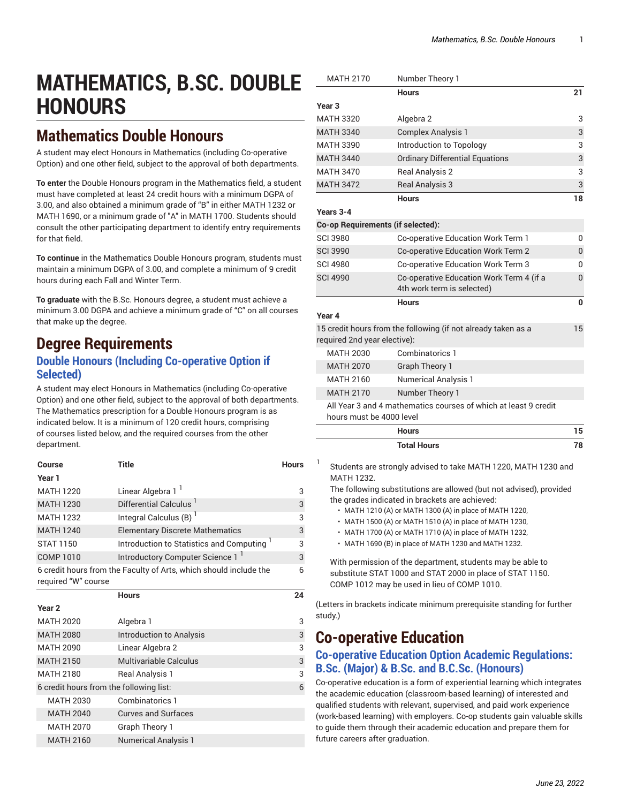# **MATHEMATICS, B.SC. DOUBLE HONOURS**

# **Mathematics Double Honours**

A student may elect Honours in Mathematics (including Co-operative Option) and one other field, subject to the approval of both departments.

**To enter** the Double Honours program in the Mathematics field, a student must have completed at least 24 credit hours with a minimum DGPA of 3.00, and also obtained a minimum grade of "B" in either MATH 1232 or MATH 1690, or a minimum grade of "A" in MATH 1700. Students should consult the other participating department to identify entry requirements for that field.

**To continue** in the Mathematics Double Honours program, students must maintain a minimum DGPA of 3.00, and complete a minimum of 9 credit hours during each Fall and Winter Term.

**To graduate** with the B.Sc. Honours degree, a student must achieve a minimum 3.00 DGPA and achieve a minimum grade of "C" on all courses that make up the degree.

# **Degree Requirements**

### **Double Honours (Including Co-operative Option if Selected)**

A student may elect Honours in Mathematics (including Co-operative Option) and one other field, subject to the approval of both departments. The Mathematics prescription for a Double Honours program is as indicated below. It is a minimum of 120 credit hours, comprising of courses listed below, and the required courses from the other department.

| Course                                                                                   | Title                                                 | <b>Hours</b> |
|------------------------------------------------------------------------------------------|-------------------------------------------------------|--------------|
| Year 1                                                                                   |                                                       |              |
| <b>MATH 1220</b>                                                                         | Linear Algebra 1 <sup>1</sup>                         | 3            |
| <b>MATH 1230</b>                                                                         | Differential Calculus '                               | 3            |
| <b>MATH 1232</b>                                                                         | Integral Calculus (B)                                 | 3            |
| <b>MATH 1240</b>                                                                         | <b>Elementary Discrete Mathematics</b>                | 3            |
| <b>STAT 1150</b>                                                                         | Introduction to Statistics and Computing <sup>1</sup> | 3            |
| <b>COMP 1010</b>                                                                         | Introductory Computer Science 1                       | 3            |
| 6 credit hours from the Faculty of Arts, which should include the<br>required "W" course |                                                       |              |
|                                                                                          | <b>Hours</b>                                          | 24           |
| Year <sub>2</sub>                                                                        |                                                       |              |
| <b>MATH 2020</b>                                                                         | Algebra 1                                             | 3            |
| <b>MATH 2080</b>                                                                         | Introduction to Analysis                              | 3            |
| <b>MATH 2090</b>                                                                         | Linear Algebra 2                                      | 3            |
| <b>MATH 2150</b>                                                                         | Multivariable Calculus                                | 3            |
| <b>MATH 2180</b>                                                                         | Real Analysis 1                                       | 3            |
| 6 credit hours from the following list:                                                  |                                                       |              |
| <b>MATH 2030</b>                                                                         | Combinatorics 1                                       |              |
| <b>MATH 2040</b>                                                                         | <b>Curves and Surfaces</b>                            |              |
| <b>MATH 2070</b>                                                                         | Graph Theory 1                                        |              |
| <b>MATH 2160</b>                                                                         | <b>Numerical Analysis 1</b>                           |              |

| <b>MATH 2170</b>                  | Number Theory 1                                                 |              |
|-----------------------------------|-----------------------------------------------------------------|--------------|
|                                   | <b>Hours</b>                                                    | 21           |
| Year <sub>3</sub>                 |                                                                 |              |
| <b>MATH 3320</b>                  | Algebra 2                                                       | 3            |
| <b>MATH 3340</b>                  | <b>Complex Analysis 1</b>                                       | 3            |
| <b>MATH 3390</b>                  | Introduction to Topology                                        | 3            |
| <b>MATH 3440</b>                  | <b>Ordinary Differential Equations</b>                          | 3            |
| <b>MATH 3470</b>                  | Real Analysis 2                                                 | 3            |
| <b>MATH 3472</b>                  | <b>Real Analysis 3</b>                                          | 3            |
|                                   | <b>Hours</b>                                                    | 18           |
| Years 3-4                         |                                                                 |              |
| Co-op Requirements (if selected): |                                                                 |              |
| <b>SCI 3980</b>                   | Co-operative Education Work Term 1                              | 0            |
| <b>SCI 3990</b>                   | <b>Co-operative Education Work Term 2</b>                       | 0            |
| <b>SCI 4980</b>                   | Co-operative Education Work Term 3                              | 0            |
| <b>SCI 4990</b>                   | Co-operative Education Work Term 4 (if a                        | $\mathbf{0}$ |
|                                   | 4th work term is selected)                                      |              |
|                                   | <b>Hours</b>                                                    | $\Omega$     |
| Year 4                            |                                                                 |              |
| required 2nd year elective):      | 15 credit hours from the following (if not already taken as a   | 15           |
| <b>MATH 2030</b>                  | Combinatorics 1                                                 |              |
| <b>MATH 2070</b>                  | <b>Graph Theory 1</b>                                           |              |
| <b>MATH 2160</b>                  | <b>Numerical Analysis 1</b>                                     |              |
| <b>MATH 2170</b>                  | Number Theory 1                                                 |              |
| hours must be 4000 level          | All Year 3 and 4 mathematics courses of which at least 9 credit |              |
|                                   | <b>Hours</b>                                                    | 15           |
|                                   | <b>Total Hours</b>                                              | 78           |
| 1                                 | Students are strongly advised to take MATH 1220, MATH 1230 and  |              |

The following substitutions are allowed (but not advised), provided the grades indicated in brackets are achieved:

- MATH 1210 (A) or MATH 1300 (A) in place of MATH 1220,
- MATH 1500 (A) or MATH 1510 (A) in place of MATH 1230,
- MATH 1700 (A) or MATH 1710 (A) in place of MATH 1232,
- MATH 1690 (B) in place of MATH 1230 and MATH 1232.

With permission of the department, students may be able to substitute STAT 1000 and STAT 2000 in place of STAT 1150. COMP 1012 may be used in lieu of COMP 1010.

(Letters in brackets indicate minimum prerequisite standing for further study.)

# **Co-operative Education**

MATH 1232.

## **Co-operative Education Option Academic Regulations: B.Sc. (Major) & B.Sc. and B.C.Sc. (Honours)**

Co-operative education is a form of experiential learning which integrates the academic education (classroom-based learning) of interested and qualified students with relevant, supervised, and paid work experience (work-based learning) with employers. Co-op students gain valuable skills to guide them through their academic education and prepare them for future careers after graduation.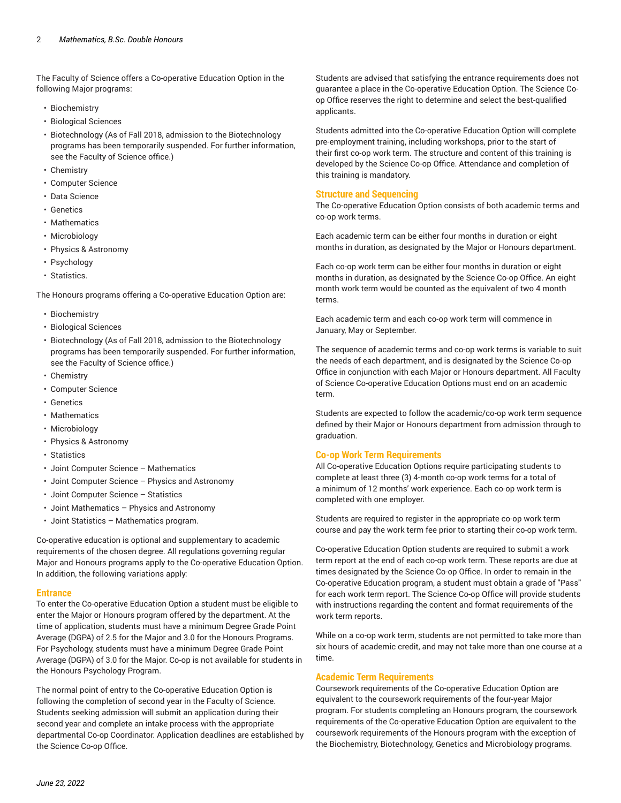The Faculty of Science offers a Co-operative Education Option in the following Major programs:

- Biochemistry
- Biological Sciences
- Biotechnology (As of Fall 2018, admission to the Biotechnology programs has been temporarily suspended. For further information, see the Faculty of Science office.)
- Chemistry
- Computer Science
- Data Science
- Genetics
- Mathematics
- Microbiology
- Physics & Astronomy
- Psychology
- Statistics.

The Honours programs offering a Co-operative Education Option are:

- Biochemistry
- Biological Sciences
- Biotechnology (As of Fall 2018, admission to the Biotechnology programs has been temporarily suspended. For further information, see the Faculty of Science office.)
- Chemistry
- Computer Science
- Genetics
- Mathematics
- Microbiology
- Physics & Astronomy
- Statistics
- Joint Computer Science Mathematics
- Joint Computer Science Physics and Astronomy
- Joint Computer Science Statistics
- Joint Mathematics Physics and Astronomy
- Joint Statistics Mathematics program.

Co-operative education is optional and supplementary to academic requirements of the chosen degree. All regulations governing regular Major and Honours programs apply to the Co-operative Education Option. In addition, the following variations apply:

### **Entrance**

To enter the Co-operative Education Option a student must be eligible to enter the Major or Honours program offered by the department. At the time of application, students must have a minimum Degree Grade Point Average (DGPA) of 2.5 for the Major and 3.0 for the Honours Programs. For Psychology, students must have a minimum Degree Grade Point Average (DGPA) of 3.0 for the Major. Co-op is not available for students in the Honours Psychology Program.

The normal point of entry to the Co-operative Education Option is following the completion of second year in the Faculty of Science. Students seeking admission will submit an application during their second year and complete an intake process with the appropriate departmental Co-op Coordinator. Application deadlines are established by the Science Co-op Office.

Students are advised that satisfying the entrance requirements does not guarantee a place in the Co-operative Education Option. The Science Coop Office reserves the right to determine and select the best-qualified applicants.

Students admitted into the Co-operative Education Option will complete pre-employment training, including workshops, prior to the start of their first co-op work term. The structure and content of this training is developed by the Science Co-op Office. Attendance and completion of this training is mandatory.

#### **Structure and Sequencing**

The Co-operative Education Option consists of both academic terms and co-op work terms.

Each academic term can be either four months in duration or eight months in duration, as designated by the Major or Honours department.

Each co-op work term can be either four months in duration or eight months in duration, as designated by the Science Co-op Office. An eight month work term would be counted as the equivalent of two 4 month terms.

Each academic term and each co-op work term will commence in January, May or September.

The sequence of academic terms and co-op work terms is variable to suit the needs of each department, and is designated by the Science Co-op Office in conjunction with each Major or Honours department. All Faculty of Science Co-operative Education Options must end on an academic term.

Students are expected to follow the academic/co-op work term sequence defined by their Major or Honours department from admission through to graduation.

### **Co-op Work Term Requirements**

All Co-operative Education Options require participating students to complete at least three (3) 4-month co-op work terms for a total of a minimum of 12 months' work experience. Each co-op work term is completed with one employer.

Students are required to register in the appropriate co-op work term course and pay the work term fee prior to starting their co-op work term.

Co-operative Education Option students are required to submit a work term report at the end of each co-op work term. These reports are due at times designated by the Science Co-op Office. In order to remain in the Co-operative Education program, a student must obtain a grade of "Pass" for each work term report. The Science Co-op Office will provide students with instructions regarding the content and format requirements of the work term reports.

While on a co-op work term, students are not permitted to take more than six hours of academic credit, and may not take more than one course at a time.

### **Academic Term Requirements**

Coursework requirements of the Co-operative Education Option are equivalent to the coursework requirements of the four-year Major program. For students completing an Honours program, the coursework requirements of the Co-operative Education Option are equivalent to the coursework requirements of the Honours program with the exception of the Biochemistry, Biotechnology, Genetics and Microbiology programs.